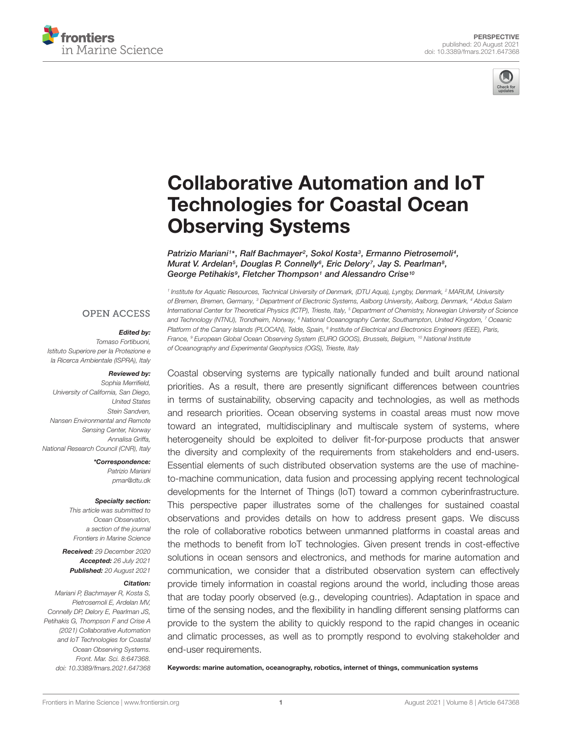



# [Collaborative Automation and IoT](https://www.frontiersin.org/articles/10.3389/fmars.2021.647368/full) Technologies for Coastal Ocean Observing Systems

Patrizio Mariani1\*, Ralf Bachmayer<sup>2</sup>, Sokol Kosta<sup>3</sup>, Ermanno Pietrosemoli<sup>4</sup>, Murat V. Ardelan<sup>s</sup>, Douglas P. Connelly<sup>s</sup>, Eric Delory<sup>7</sup>, Jay S. Pearlman<sup>s</sup>, George Petihakis<sup>9</sup>, Fletcher Thompson<sup>1</sup> and Alessandro Crise<sup>10</sup>

**OPEN ACCESS** 

#### Edited by:

Tomaso Fortibuoni, Istituto Superiore per la Protezione e la Ricerca Ambientale (ISPRA), Italy

#### Reviewed by:

Sophia Merrifield, University of California, San Diego, United States Stein Sandven, Nansen Environmental and Remote Sensing Center, Norway Annalisa Griffa, National Research Council (CNR), Italy

> \*Correspondence: Patrizio Mariani pmar@dtu.dk

#### Specialty section:

This article was submitted to Ocean Observation, a section of the journal Frontiers in Marine Science

Received: 29 December 2020 Accepted: 26 July 2021 Published: 20 August 2021

### Citation:

Mariani P, Bachmayer R, Kosta S, Pietrosemoli E, Ardelan MV, Connelly DP, Delory E, Pearlman JS, Petihakis G, Thompson F and Crise A (2021) Collaborative Automation and IoT Technologies for Coastal Ocean Observing Systems. Front. Mar. Sci. 8:647368. doi: [10.3389/fmars.2021.647368](https://doi.org/10.3389/fmars.2021.647368)

<sup>1</sup> Institute for Aquatic Resources, Technical University of Denmark, (DTU Aqua), Lyngby, Denmark, <sup>2</sup> MARUM, University of Bremen, Bremen, Germany, <sup>3</sup> Department of Electronic Systems, Aalborg University, Aalborg, Denmark, <sup>4</sup> Abdus Salam International Center for Theoretical Physics (ICTP), Trieste, Italy, <sup>5</sup> Department of Chemistry, Norwegian University of Science and Technology (NTNU), Trondheim, Norway, <sup>6</sup> National Oceanography Center, Southampton, United Kingdom, <sup>7</sup> Oceanic Platform of the Canary Islands (PLOCAN), Telde, Spain, <sup>8</sup> Institute of Electrical and Electronics Engineers (IEEE), Paris, France, <sup>9</sup> European Global Ocean Observing System (EURO GOOS), Brussels, Belgium, <sup>10</sup> National Institute of Oceanography and Experimental Geophysics (OGS), Trieste, Italy

Coastal observing systems are typically nationally funded and built around national priorities. As a result, there are presently significant differences between countries in terms of sustainability, observing capacity and technologies, as well as methods and research priorities. Ocean observing systems in coastal areas must now move toward an integrated, multidisciplinary and multiscale system of systems, where heterogeneity should be exploited to deliver fit-for-purpose products that answer the diversity and complexity of the requirements from stakeholders and end-users. Essential elements of such distributed observation systems are the use of machineto-machine communication, data fusion and processing applying recent technological developments for the Internet of Things (IoT) toward a common cyberinfrastructure. This perspective paper illustrates some of the challenges for sustained coastal observations and provides details on how to address present gaps. We discuss the role of collaborative robotics between unmanned platforms in coastal areas and the methods to benefit from IoT technologies. Given present trends in cost-effective solutions in ocean sensors and electronics, and methods for marine automation and communication, we consider that a distributed observation system can effectively provide timely information in coastal regions around the world, including those areas that are today poorly observed (e.g., developing countries). Adaptation in space and time of the sensing nodes, and the flexibility in handling different sensing platforms can provide to the system the ability to quickly respond to the rapid changes in oceanic and climatic processes, as well as to promptly respond to evolving stakeholder and end-user requirements.

Keywords: marine automation, oceanography, robotics, internet of things, communication systems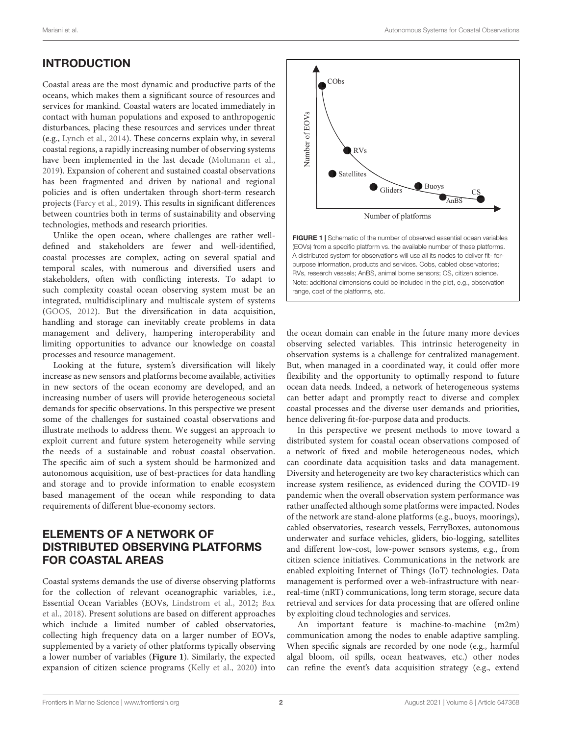# INTRODUCTION

Coastal areas are the most dynamic and productive parts of the oceans, which makes them a significant source of resources and services for mankind. Coastal waters are located immediately in contact with human populations and exposed to anthropogenic disturbances, placing these resources and services under threat (e.g., [Lynch et al.,](#page-6-0) [2014\)](#page-6-0). These concerns explain why, in several coastal regions, a rapidly increasing number of observing systems have been implemented in the last decade [\(Moltmann et al.,](#page-6-1) [2019\)](#page-6-1). Expansion of coherent and sustained coastal observations has been fragmented and driven by national and regional policies and is often undertaken through short-term research projects [\(Farcy et al.,](#page-6-2) [2019\)](#page-6-2). This results in significant differences between countries both in terms of sustainability and observing technologies, methods and research priorities.

Unlike the open ocean, where challenges are rather welldefined and stakeholders are fewer and well-identified, coastal processes are complex, acting on several spatial and temporal scales, with numerous and diversified users and stakeholders, often with conflicting interests. To adapt to such complexity coastal ocean observing system must be an integrated, multidisciplinary and multiscale system of systems [\(GOOS,](#page-6-3) [2012\)](#page-6-3). But the diversification in data acquisition, handling and storage can inevitably create problems in data management and delivery, hampering interoperability and limiting opportunities to advance our knowledge on coastal processes and resource management.

Looking at the future, system's diversification will likely increase as new sensors and platforms become available, activities in new sectors of the ocean economy are developed, and an increasing number of users will provide heterogeneous societal demands for specific observations. In this perspective we present some of the challenges for sustained coastal observations and illustrate methods to address them. We suggest an approach to exploit current and future system heterogeneity while serving the needs of a sustainable and robust coastal observation. The specific aim of such a system should be harmonized and autonomous acquisition, use of best-practices for data handling and storage and to provide information to enable ecosystem based management of the ocean while responding to data requirements of different blue-economy sectors.

# ELEMENTS OF A NETWORK OF DISTRIBUTED OBSERVING PLATFORMS FOR COASTAL AREAS

Coastal systems demands the use of diverse observing platforms for the collection of relevant oceanographic variables, i.e., Essential Ocean Variables (EOVs, [Lindstrom et al.,](#page-6-4) [2012;](#page-6-4) [Bax](#page-5-0) [et al.,](#page-5-0) [2018\)](#page-5-0). Present solutions are based on different approaches which include a limited number of cabled observatories, collecting high frequency data on a larger number of EOVs, supplemented by a variety of other platforms typically observing a lower number of variables (**[Figure 1](#page-1-0)**). Similarly, the expected expansion of citizen science programs [\(Kelly et al.,](#page-6-5) [2020\)](#page-6-5) into



<span id="page-1-0"></span>FIGURE 1 | Schematic of the number of observed essential ocean variables (EOVs) from a specific platform vs. the available number of these platforms. A distributed system for observations will use all its nodes to deliver fit- forpurpose information, products and services. Cobs, cabled observatories; RVs, research vessels; AnBS, animal borne sensors; CS, citizen science. Note: additional dimensions could be included in the plot, e.g., observation range, cost of the platforms, etc.

the ocean domain can enable in the future many more devices observing selected variables. This intrinsic heterogeneity in observation systems is a challenge for centralized management. But, when managed in a coordinated way, it could offer more flexibility and the opportunity to optimally respond to future ocean data needs. Indeed, a network of heterogeneous systems can better adapt and promptly react to diverse and complex coastal processes and the diverse user demands and priorities, hence delivering fit-for-purpose data and products.

In this perspective we present methods to move toward a distributed system for coastal ocean observations composed of a network of fixed and mobile heterogeneous nodes, which can coordinate data acquisition tasks and data management. Diversity and heterogeneity are two key characteristics which can increase system resilience, as evidenced during the COVID-19 pandemic when the overall observation system performance was rather unaffected although some platforms were impacted. Nodes of the network are stand-alone platforms (e.g., buoys, moorings), cabled observatories, research vessels, FerryBoxes, autonomous underwater and surface vehicles, gliders, bio-logging, satellites and different low-cost, low-power sensors systems, e.g., from citizen science initiatives. Communications in the network are enabled exploiting Internet of Things (IoT) technologies. Data management is performed over a web-infrastructure with nearreal-time (nRT) communications, long term storage, secure data retrieval and services for data processing that are offered online by exploiting cloud technologies and services.

An important feature is machine-to-machine (m2m) communication among the nodes to enable adaptive sampling. When specific signals are recorded by one node (e.g., harmful algal bloom, oil spills, ocean heatwaves, etc.) other nodes can refine the event's data acquisition strategy (e.g., extend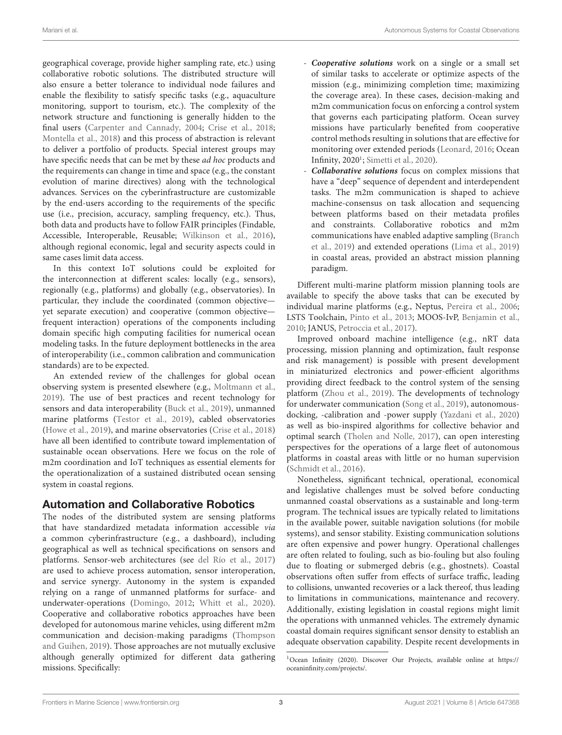geographical coverage, provide higher sampling rate, etc.) using collaborative robotic solutions. The distributed structure will also ensure a better tolerance to individual node failures and enable the flexibility to satisfy specific tasks (e.g., aquaculture monitoring, support to tourism, etc.). The complexity of the network structure and functioning is generally hidden to the final users [\(Carpenter and Cannady,](#page-5-1) [2004;](#page-5-1) [Crise et al.,](#page-6-6) [2018;](#page-6-6) [Montella et al.,](#page-6-7) [2018\)](#page-6-7) and this process of abstraction is relevant to deliver a portfolio of products. Special interest groups may have specific needs that can be met by these ad hoc products and the requirements can change in time and space (e.g., the constant evolution of marine directives) along with the technological advances. Services on the cyberinfrastructure are customizable by the end-users according to the requirements of the specific use (i.e., precision, accuracy, sampling frequency, etc.). Thus, both data and products have to follow FAIR principles (Findable, Accessible, Interoperable, Reusable; [Wilkinson et al.,](#page-7-0) [2016\)](#page-7-0), although regional economic, legal and security aspects could in same cases limit data access.

In this context IoT solutions could be exploited for the interconnection at different scales: locally (e.g., sensors), regionally (e.g., platforms) and globally (e.g., observatories). In particular, they include the coordinated (common objective yet separate execution) and cooperative (common objective frequent interaction) operations of the components including domain specific high computing facilities for numerical ocean modeling tasks. In the future deployment bottlenecks in the area of interoperability (i.e., common calibration and communication standards) are to be expected.

An extended review of the challenges for global ocean observing system is presented elsewhere (e.g., [Moltmann et al.,](#page-6-1) [2019\)](#page-6-1). The use of best practices and recent technology for sensors and data interoperability [\(Buck et al.,](#page-5-2) [2019\)](#page-5-2), unmanned marine platforms [\(Testor et al.,](#page-6-8) [2019\)](#page-6-8), cabled observatories [\(Howe et al.,](#page-6-9) [2019\)](#page-6-9), and marine observatories [\(Crise et al.,](#page-6-6) [2018\)](#page-6-6) have all been identified to contribute toward implementation of sustainable ocean observations. Here we focus on the role of m2m coordination and IoT techniques as essential elements for the operationalization of a sustained distributed ocean sensing system in coastal regions.

## Automation and Collaborative Robotics

The nodes of the distributed system are sensing platforms that have standardized metadata information accessible via a common cyberinfrastructure (e.g., a dashboard), including geographical as well as technical specifications on sensors and platforms. Sensor-web architectures (see [del Río et al.,](#page-6-10) [2017\)](#page-6-10) are used to achieve process automation, sensor interoperation, and service synergy. Autonomy in the system is expanded relying on a range of unmanned platforms for surface- and underwater-operations [\(Domingo,](#page-6-11) [2012;](#page-6-11) [Whitt et al.,](#page-7-1) [2020\)](#page-7-1). Cooperative and collaborative robotics approaches have been developed for autonomous marine vehicles, using different m2m communication and decision-making paradigms [\(Thompson](#page-7-2) [and Guihen,](#page-7-2) [2019\)](#page-7-2). Those approaches are not mutually exclusive although generally optimized for different data gathering missions. Specifically:

- **Cooperative solutions** work on a single or a small set of similar tasks to accelerate or optimize aspects of the mission (e.g., minimizing completion time; maximizing the coverage area). In these cases, decision-making and m2m communication focus on enforcing a control system that governs each participating platform. Ocean survey missions have particularly benefited from cooperative control methods resulting in solutions that are effective for monitoring over extended periods [\(Leonard,](#page-6-12) [2016;](#page-6-12) Ocean Infinity, 2020<sup>[1](#page-2-0)</sup>; [Simetti et al.,](#page-6-13) [2020\)](#page-6-13).
- **Collaborative solutions** focus on complex missions that have a "deep" sequence of dependent and interdependent tasks. The m2m communication is shaped to achieve machine-consensus on task allocation and sequencing between platforms based on their metadata profiles and constraints. Collaborative robotics and m2m communications have enabled adaptive sampling [\(Branch](#page-5-3) [et al.,](#page-5-3) [2019\)](#page-5-3) and extended operations [\(Lima et al.,](#page-6-14) [2019\)](#page-6-14) in coastal areas, provided an abstract mission planning paradigm.

Different multi-marine platform mission planning tools are available to specify the above tasks that can be executed by individual marine platforms (e.g., Neptus, [Pereira et al.,](#page-6-15) [2006;](#page-6-15) LSTS Toolchain, [Pinto et al.,](#page-6-16) [2013;](#page-6-16) MOOS-IvP, [Benjamin et al.,](#page-5-4) [2010;](#page-5-4) JANUS, [Petroccia et al.,](#page-6-17) [2017\)](#page-6-17).

Improved onboard machine intelligence (e.g., nRT data processing, mission planning and optimization, fault response and risk management) is possible with present development in miniaturized electronics and power-efficient algorithms providing direct feedback to the control system of the sensing platform [\(Zhou et al.,](#page-7-3) [2019\)](#page-7-3). The developments of technology for underwater communication [\(Song et al.,](#page-6-18) [2019\)](#page-6-18), autonomousdocking, -calibration and -power supply [\(Yazdani et al.,](#page-7-4) [2020\)](#page-7-4) as well as bio-inspired algorithms for collective behavior and optimal search [\(Tholen and Nolle,](#page-6-19) [2017\)](#page-6-19), can open interesting perspectives for the operations of a large fleet of autonomous platforms in coastal areas with little or no human supervision [\(Schmidt et al.,](#page-6-20) [2016\)](#page-6-20).

Nonetheless, significant technical, operational, economical and legislative challenges must be solved before conducting unmanned coastal observations as a sustainable and long-term program. The technical issues are typically related to limitations in the available power, suitable navigation solutions (for mobile systems), and sensor stability. Existing communication solutions are often expensive and power hungry. Operational challenges are often related to fouling, such as bio-fouling but also fouling due to floating or submerged debris (e.g., ghostnets). Coastal observations often suffer from effects of surface traffic, leading to collisions, unwanted recoveries or a lack thereof, thus leading to limitations in communications, maintenance and recovery. Additionally, existing legislation in coastal regions might limit the operations with unmanned vehicles. The extremely dynamic coastal domain requires significant sensor density to establish an adequate observation capability. Despite recent developments in

<span id="page-2-0"></span><sup>1</sup>Ocean Infinity (2020). Discover Our Projects, available online at [https://](https://oceaninfinity.com/projects/) [oceaninfinity.com/projects/.](https://oceaninfinity.com/projects/)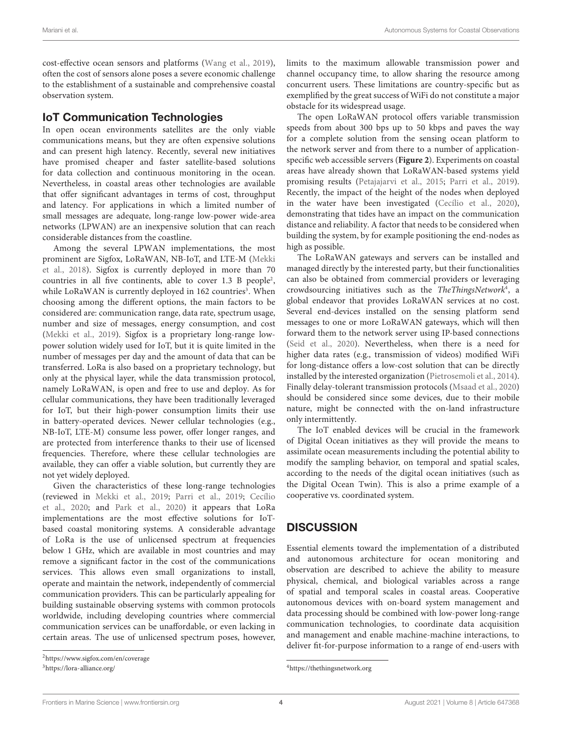cost-effective ocean sensors and platforms [\(Wang et al.,](#page-7-5) [2019\)](#page-7-5), often the cost of sensors alone poses a severe economic challenge to the establishment of a sustainable and comprehensive coastal observation system.

## IoT Communication Technologies

In open ocean environments satellites are the only viable communications means, but they are often expensive solutions and can present high latency. Recently, several new initiatives have promised cheaper and faster satellite-based solutions for data collection and continuous monitoring in the ocean. Nevertheless, in coastal areas other technologies are available that offer significant advantages in terms of cost, throughput and latency. For applications in which a limited number of small messages are adequate, long-range low-power wide-area networks (LPWAN) are an inexpensive solution that can reach considerable distances from the coastline.

Among the several LPWAN implementations, the most prominent are Sigfox, LoRaWAN, NB-IoT, and LTE-M [\(Mekki](#page-6-21) [et al.,](#page-6-21) [2018\)](#page-6-21). Sigfox is currently deployed in more than 70 countries in all five continents, able to cover 1.3 B people<sup>[2](#page-3-0)</sup>, while LoRaWAN is currently deployed in 162 countries<sup>[3](#page-3-1)</sup>. When choosing among the different options, the main factors to be considered are: communication range, data rate, spectrum usage, number and size of messages, energy consumption, and cost [\(Mekki et al.,](#page-6-22) [2019\)](#page-6-22). Sigfox is a proprietary long-range lowpower solution widely used for IoT, but it is quite limited in the number of messages per day and the amount of data that can be transferred. LoRa is also based on a proprietary technology, but only at the physical layer, while the data transmission protocol, namely LoRaWAN, is open and free to use and deploy. As for cellular communications, they have been traditionally leveraged for IoT, but their high-power consumption limits their use in battery-operated devices. Newer cellular technologies (e.g., NB-IoT, LTE-M) consume less power, offer longer ranges, and are protected from interference thanks to their use of licensed frequencies. Therefore, where these cellular technologies are available, they can offer a viable solution, but currently they are not yet widely deployed.

Given the characteristics of these long-range technologies (reviewed in [Mekki et al.,](#page-6-22) [2019;](#page-6-22) [Parri et al.,](#page-6-23) [2019;](#page-6-23) [Cecílio](#page-6-24) [et al.,](#page-6-24) [2020;](#page-6-24) and [Park et al.,](#page-6-25) [2020\)](#page-6-25) it appears that LoRa implementations are the most effective solutions for IoTbased coastal monitoring systems. A considerable advantage of LoRa is the use of unlicensed spectrum at frequencies below 1 GHz, which are available in most countries and may remove a significant factor in the cost of the communications services. This allows even small organizations to install, operate and maintain the network, independently of commercial communication providers. This can be particularly appealing for building sustainable observing systems with common protocols worldwide, including developing countries where commercial communication services can be unaffordable, or even lacking in certain areas. The use of unlicensed spectrum poses, however,

limits to the maximum allowable transmission power and channel occupancy time, to allow sharing the resource among concurrent users. These limitations are country-specific but as exemplified by the great success of WiFi do not constitute a major obstacle for its widespread usage.

The open LoRaWAN protocol offers variable transmission speeds from about 300 bps up to 50 kbps and paves the way for a complete solution from the sensing ocean platform to the network server and from there to a number of applicationspecific web accessible servers (**[Figure 2](#page-4-0)**). Experiments on coastal areas have already shown that LoRaWAN-based systems yield promising results [\(Petajajarvi et al.,](#page-6-26) [2015;](#page-6-26) [Parri et al.,](#page-6-23) [2019\)](#page-6-23). Recently, the impact of the height of the nodes when deployed in the water have been investigated [\(Cecílio et al.,](#page-6-24) [2020\)](#page-6-24), demonstrating that tides have an impact on the communication distance and reliability. A factor that needs to be considered when building the system, by for example positioning the end-nodes as high as possible.

The LoRaWAN gateways and servers can be installed and managed directly by the interested party, but their functionalities can also be obtained from commercial providers or leveraging crowdsourcing initiatives such as the TheThingsNetwork<sup>[4](#page-3-2)</sup>, a global endeavor that provides LoRaWAN services at no cost. Several end-devices installed on the sensing platform send messages to one or more LoRaWAN gateways, which will then forward them to the network server using IP-based connections [\(Seid et al.,](#page-6-27) [2020\)](#page-6-27). Nevertheless, when there is a need for higher data rates (e.g., transmission of videos) modified WiFi for long-distance offers a low-cost solution that can be directly installed by the interested organization [\(Pietrosemoli et al.,](#page-6-28) [2014\)](#page-6-28). Finally delay-tolerant transmission protocols [\(Msaad et al.,](#page-6-29) [2020\)](#page-6-29) should be considered since some devices, due to their mobile nature, might be connected with the on-land infrastructure only intermittently.

The IoT enabled devices will be crucial in the framework of Digital Ocean initiatives as they will provide the means to assimilate ocean measurements including the potential ability to modify the sampling behavior, on temporal and spatial scales, according to the needs of the digital ocean initiatives (such as the Digital Ocean Twin). This is also a prime example of a cooperative vs. coordinated system.

# **DISCUSSION**

Essential elements toward the implementation of a distributed and autonomous architecture for ocean monitoring and observation are described to achieve the ability to measure physical, chemical, and biological variables across a range of spatial and temporal scales in coastal areas. Cooperative autonomous devices with on-board system management and data processing should be combined with low-power long-range communication technologies, to coordinate data acquisition and management and enable machine-machine interactions, to deliver fit-for-purpose information to a range of end-users with

<span id="page-3-0"></span><sup>2</sup><https://www.sigfox.com/en/coverage>

<span id="page-3-1"></span><sup>3</sup><https://lora-alliance.org/>

<span id="page-3-2"></span><sup>4</sup><https://thethingsnetwork.org>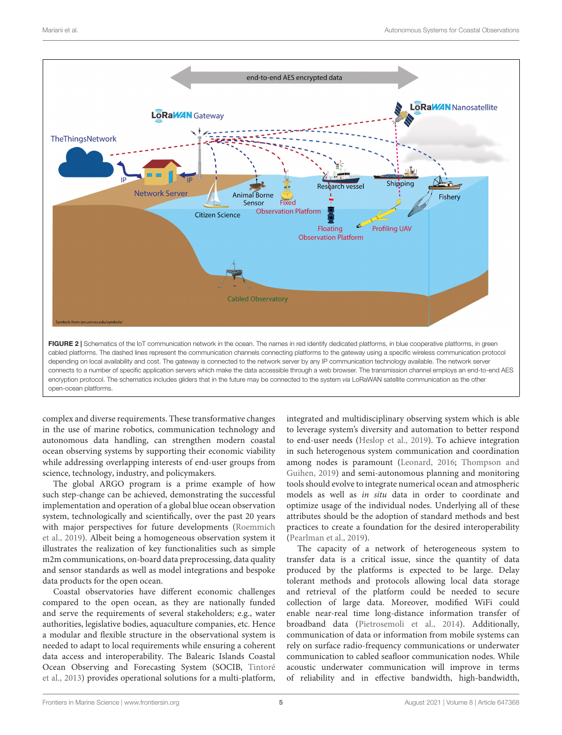

<span id="page-4-0"></span>complex and diverse requirements. These transformative changes in the use of marine robotics, communication technology and autonomous data handling, can strengthen modern coastal ocean observing systems by supporting their economic viability while addressing overlapping interests of end-user groups from science, technology, industry, and policymakers.

The global ARGO program is a prime example of how such step-change can be achieved, demonstrating the successful implementation and operation of a global blue ocean observation system, technologically and scientifically, over the past 20 years with major perspectives for future developments [\(Roemmich](#page-6-30) [et al.,](#page-6-30) [2019\)](#page-6-30). Albeit being a homogeneous observation system it illustrates the realization of key functionalities such as simple m2m communications, on-board data preprocessing, data quality and sensor standards as well as model integrations and bespoke data products for the open ocean.

Coastal observatories have different economic challenges compared to the open ocean, as they are nationally funded and serve the requirements of several stakeholders; e.g., water authorities, legislative bodies, aquaculture companies, etc. Hence a modular and flexible structure in the observational system is needed to adapt to local requirements while ensuring a coherent data access and interoperability. The Balearic Islands Coastal Ocean Observing and Forecasting System (SOCIB, [Tintoré](#page-7-6) [et al.,](#page-7-6) [2013\)](#page-7-6) provides operational solutions for a multi-platform, integrated and multidisciplinary observing system which is able to leverage system's diversity and automation to better respond to end-user needs [\(Heslop et al.,](#page-6-31) [2019\)](#page-6-31). To achieve integration in such heterogenous system communication and coordination among nodes is paramount [\(Leonard,](#page-6-12) [2016;](#page-6-12) [Thompson and](#page-7-2) [Guihen,](#page-7-2) [2019\)](#page-7-2) and semi-autonomous planning and monitoring tools should evolve to integrate numerical ocean and atmospheric models as well as in situ data in order to coordinate and optimize usage of the individual nodes. Underlying all of these attributes should be the adoption of standard methods and best practices to create a foundation for the desired interoperability [\(Pearlman et al.,](#page-6-32) [2019\)](#page-6-32).

The capacity of a network of heterogeneous system to transfer data is a critical issue, since the quantity of data produced by the platforms is expected to be large. Delay tolerant methods and protocols allowing local data storage and retrieval of the platform could be needed to secure collection of large data. Moreover, modified WiFi could enable near-real time long-distance information transfer of broadband data [\(Pietrosemoli et al.,](#page-6-28) [2014\)](#page-6-28). Additionally, communication of data or information from mobile systems can rely on surface radio-frequency communications or underwater communication to cabled seafloor communication nodes. While acoustic underwater communication will improve in terms of reliability and in effective bandwidth, high-bandwidth,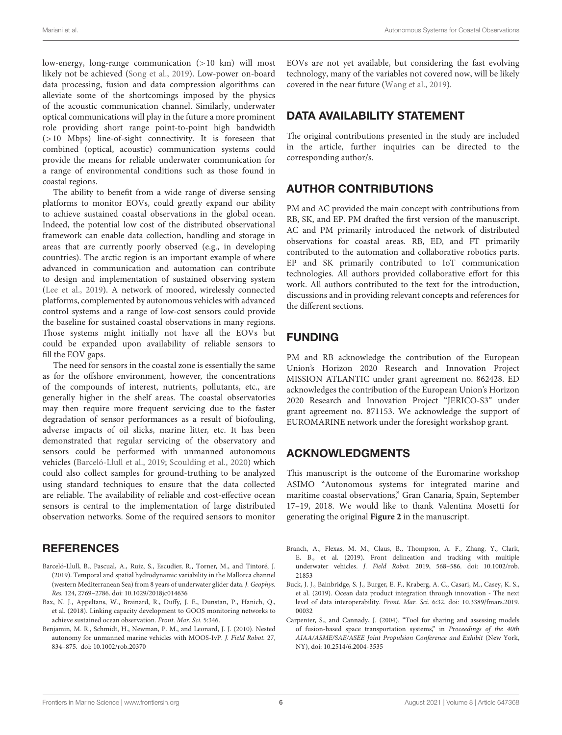low-energy, long-range communication (>10 km) will most likely not be achieved [\(Song et al.,](#page-6-18) [2019\)](#page-6-18). Low-power on-board data processing, fusion and data compression algorithms can alleviate some of the shortcomings imposed by the physics of the acoustic communication channel. Similarly, underwater optical communications will play in the future a more prominent role providing short range point-to-point high bandwidth  $(>10$  Mbps) line-of-sight connectivity. It is foreseen that combined (optical, acoustic) communication systems could provide the means for reliable underwater communication for a range of environmental conditions such as those found in coastal regions.

The ability to benefit from a wide range of diverse sensing platforms to monitor EOVs, could greatly expand our ability to achieve sustained coastal observations in the global ocean. Indeed, the potential low cost of the distributed observational framework can enable data collection, handling and storage in areas that are currently poorly observed (e.g., in developing countries). The arctic region is an important example of where advanced in communication and automation can contribute to design and implementation of sustained observing system [\(Lee et al.,](#page-6-33) [2019\)](#page-6-33). A network of moored, wirelessly connected platforms, complemented by autonomous vehicles with advanced control systems and a range of low-cost sensors could provide the baseline for sustained coastal observations in many regions. Those systems might initially not have all the EOVs but could be expanded upon availability of reliable sensors to fill the EOV gaps.

The need for sensors in the coastal zone is essentially the same as for the offshore environment, however, the concentrations of the compounds of interest, nutrients, pollutants, etc., are generally higher in the shelf areas. The coastal observatories may then require more frequent servicing due to the faster degradation of sensor performances as a result of biofouling, adverse impacts of oil slicks, marine litter, etc. It has been demonstrated that regular servicing of the observatory and sensors could be performed with unmanned autonomous vehicles [\(Barceló-Llull et al.,](#page-5-5) [2019;](#page-5-5) [Scoulding et al.,](#page-6-34) [2020\)](#page-6-34) which could also collect samples for ground-truthing to be analyzed using standard techniques to ensure that the data collected are reliable. The availability of reliable and cost-effective ocean sensors is central to the implementation of large distributed observation networks. Some of the required sensors to monitor

## **REFERENCES**

- <span id="page-5-5"></span>Barceló-Llull, B., Pascual, A., Ruiz, S., Escudier, R., Torner, M., and Tintoré, J. (2019). Temporal and spatial hydrodynamic variability in the Mallorca channel (western Mediterranean Sea) from 8 years of underwater glider data. J. Geophys. Res. 124, 2769–2786. [doi: 10.1029/2018jc014636](https://doi.org/10.1029/2018jc014636)
- <span id="page-5-0"></span>Bax, N. J., Appeltans, W., Brainard, R., Duffy, J. E., Dunstan, P., Hanich, Q., et al. (2018). Linking capacity development to GOOS monitoring networks to achieve sustained ocean observation. Front. Mar. Sci. 5:346.
- <span id="page-5-4"></span>Benjamin, M. R., Schmidt, H., Newman, P. M., and Leonard, J. J. (2010). Nested autonomy for unmanned marine vehicles with MOOS-IvP. J. Field Robot. 27, 834–875. [doi: 10.1002/rob.20370](https://doi.org/10.1002/rob.20370)

EOVs are not yet available, but considering the fast evolving technology, many of the variables not covered now, will be likely covered in the near future [\(Wang et al.,](#page-7-5) [2019\)](#page-7-5).

# DATA AVAILABILITY STATEMENT

The original contributions presented in the study are included in the article, further inquiries can be directed to the corresponding author/s.

# AUTHOR CONTRIBUTIONS

PM and AC provided the main concept with contributions from RB, SK, and EP. PM drafted the first version of the manuscript. AC and PM primarily introduced the network of distributed observations for coastal areas. RB, ED, and FT primarily contributed to the automation and collaborative robotics parts. EP and SK primarily contributed to IoT communication technologies. All authors provided collaborative effort for this work. All authors contributed to the text for the introduction, discussions and in providing relevant concepts and references for the different sections.

# FUNDING

PM and RB acknowledge the contribution of the European Union's Horizon 2020 Research and Innovation Project MISSION ATLANTIC under grant agreement no. 862428. ED acknowledges the contribution of the European Union's Horizon 2020 Research and Innovation Project "JERICO-S3" under grant agreement no. 871153. We acknowledge the support of EUROMARINE network under the foresight workshop grant.

# ACKNOWLEDGMENTS

This manuscript is the outcome of the Euromarine workshop ASIMO "Autonomous systems for integrated marine and maritime coastal observations," Gran Canaria, Spain, September 17–19, 2018. We would like to thank Valentina Mosetti for generating the original **[Figure 2](#page-4-0)** in the manuscript.

- <span id="page-5-3"></span>Branch, A., Flexas, M. M., Claus, B., Thompson, A. F., Zhang, Y., Clark, E. B., et al. (2019). Front delineation and tracking with multiple underwater vehicles. J. Field Robot. 2019, 568–586. [doi: 10.1002/rob.](https://doi.org/10.1002/rob.21853) [21853](https://doi.org/10.1002/rob.21853)
- <span id="page-5-2"></span>Buck, J. J., Bainbridge, S. J., Burger, E. F., Kraberg, A. C., Casari, M., Casey, K. S., et al. (2019). Ocean data product integration through innovation - The next level of data interoperability. Front. Mar. Sci. 6:32. [doi: 10.3389/fmars.2019.](https://doi.org/10.3389/fmars.2019.00032) [00032](https://doi.org/10.3389/fmars.2019.00032)
- <span id="page-5-1"></span>Carpenter, S., and Cannady, J. (2004). "Tool for sharing and assessing models of fusion-based space transportation systems," in Proceedings of the 40th AIAA/ASME/SAE/ASEE Joint Propulsion Conference and Exhibit (New York, NY), [doi: 10.2514/6.2004-3535](https://doi.org/10.2514/6.2004-3535)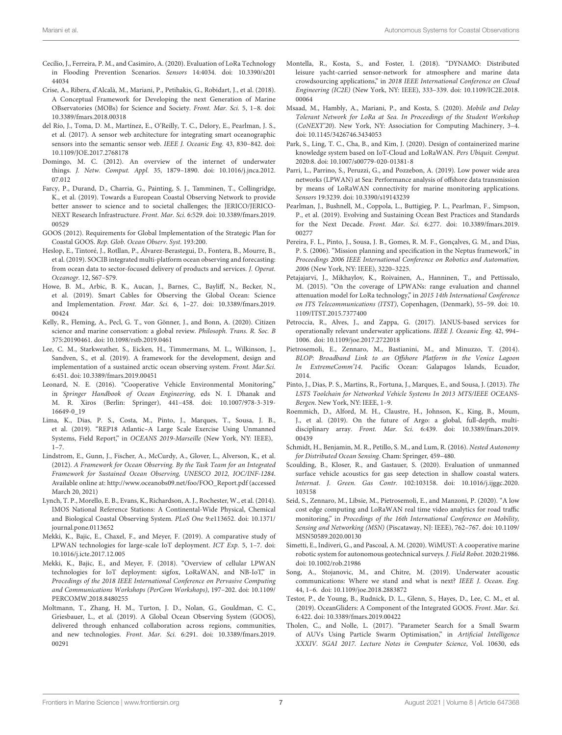- <span id="page-6-24"></span>Cecílio, J., Ferreira, P. M., and Casimiro, A. (2020). Evaluation of LoRa Technology in Flooding Prevention Scenarios. Sensors 14:4034. [doi: 10.3390/s201](https://doi.org/10.3390/s20144034) [44034](https://doi.org/10.3390/s20144034)
- <span id="page-6-6"></span>Crise, A., Ribera, d'Alcalà, M., Mariani, P., Petihakis, G., Robidart, J., et al. (2018). A Conceptual Framework for Developing the next Generation of Marine OBservatories (MOBs) for Science and Society. Front. Mar. Sci. 5, 1–8. [doi:](https://doi.org/10.3389/fmars.2018.00318) [10.3389/fmars.2018.00318](https://doi.org/10.3389/fmars.2018.00318)
- <span id="page-6-10"></span>del Río, J., Toma, D. M., Martínez, E., O'Reilly, T. C., Delory, E., Pearlman, J. S., et al. (2017). A sensor web architecture for integrating smart oceanographic sensors into the semantic sensor web. IEEE J. Oceanic Eng. 43, 830–842. [doi:](https://doi.org/10.1109/JOE.2017.2768178) [10.1109/JOE.2017.2768178](https://doi.org/10.1109/JOE.2017.2768178)
- <span id="page-6-11"></span>Domingo, M. C. (2012). An overview of the internet of underwater things. J. Netw. Comput. Appl. 35, 1879–1890. [doi: 10.1016/j.jnca.2012.](https://doi.org/10.1016/j.jnca.2012.07.012) [07.012](https://doi.org/10.1016/j.jnca.2012.07.012)
- <span id="page-6-2"></span>Farcy, P., Durand, D., Charria, G., Painting, S. J., Tamminen, T., Collingridge, K., et al. (2019). Towards a European Coastal Observing Network to provide better answer to science and to societal challenges; the JERICO/JERICO-NEXT Research Infrastructure. Front. Mar. Sci. 6:529. [doi: 10.3389/fmars.2019.](https://doi.org/10.3389/fmars.2019.00529) [00529](https://doi.org/10.3389/fmars.2019.00529)
- <span id="page-6-3"></span>GOOS (2012). Requirements for Global Implementation of the Strategic Plan for Coastal GOOS. Rep. Glob. Ocean Observ. Syst. 193:200.
- <span id="page-6-31"></span>Heslop, E., Tintoré, J., Rotllan, P., Álvarez-Berastegui, D., Fontera, B., Mourre, B., et al. (2019). SOCIB integrated multi-platform ocean observing and forecasting: from ocean data to sector-focused delivery of products and services. J. Operat. Oceanogr. 12, S67–S79.
- <span id="page-6-9"></span>Howe, B. M., Arbic, B. K., Aucan, J., Barnes, C., Bayliff, N., Becker, N., et al. (2019). Smart Cables for Observing the Global Ocean: Science and Implementation. Front. Mar. Sci. 6, 1–27. [doi: 10.3389/fmars.2019.](https://doi.org/10.3389/fmars.2019.00424) [00424](https://doi.org/10.3389/fmars.2019.00424)
- <span id="page-6-5"></span>Kelly, R., Fleming, A., Pecl, G. T., von Gönner, J., and Bonn, A. (2020). Citizen science and marine conservation: a global review. Philosoph. Trans. R. Soc. B 375:20190461. [doi: 10.1098/rstb.2019.0461](https://doi.org/10.1098/rstb.2019.0461)
- <span id="page-6-33"></span>Lee, C. M., Starkweather, S., Eicken, H., Timmermans, M. L., Wilkinson, J., Sandven, S., et al. (2019). A framework for the development, design and implementation of a sustained arctic ocean observing system. Front. Mar.Sci. 6:451. [doi: 10.3389/fmars.2019.00451](https://doi.org/10.3389/fmars.2019.00451)
- <span id="page-6-12"></span>Leonard, N. E. (2016). "Cooperative Vehicle Environmental Monitoring," in Springer Handbook of Ocean Engineering, eds N. I. Dhanak and M. R. Xiros (Berlin: Springer), 441–458. [doi: 10.1007/978-3-319-](https://doi.org/10.1007/978-3-319-16649-0_19) [16649-0\\_19](https://doi.org/10.1007/978-3-319-16649-0_19)
- <span id="page-6-14"></span>Lima, K., Dias, P. S., Costa, M., Pinto, J., Marques, T., Sousa, J. B., et al. (2019). "REP18 Atlantic–A Large Scale Exercise Using Unmanned Systems, Field Report," in OCEANS 2019-Marseille (New York, NY: IEEE), 1–7.
- <span id="page-6-4"></span>Lindstrom, E., Gunn, J., Fischer, A., McCurdy, A., Glover, L., Alverson, K., et al. (2012). A Framework for Ocean Observing. By the Task Team for an Integrated Framework for Sustained Ocean Observing, UNESCO 2012, IOC/INF-1284. Available online at: [http://www.oceanobs09.net/foo/FOO\\_Report.pdf](http://www.oceanobs09.net/foo/FOO_Report.pdf) (accessed March 20, 2021)
- <span id="page-6-0"></span>Lynch, T. P., Morello, E. B., Evans, K., Richardson, A. J., Rochester, W., et al. (2014). IMOS National Reference Stations: A Continental-Wide Physical, Chemical and Biological Coastal Observing System. PLoS One 9:e113652. [doi: 10.1371/](https://doi.org/10.1371/journal.pone.0113652) [journal.pone.0113652](https://doi.org/10.1371/journal.pone.0113652)
- <span id="page-6-22"></span>Mekki, K., Bajic, E., Chaxel, F., and Meyer, F. (2019). A comparative study of LPWAN technologies for large-scale IoT deployment. ICT Exp. 5, 1–7. [doi:](https://doi.org/10.1016/j.icte.2017.12.005) [10.1016/j.icte.2017.12.005](https://doi.org/10.1016/j.icte.2017.12.005)
- <span id="page-6-21"></span>Mekki, K., Bajic, E., and Meyer, F. (2018). "Overview of cellular LPWAN technologies for IoT deployment: sigfox, LoRaWAN, and NB-IoT," in Procedings of the 2018 IEEE International Conference on Pervasive Computing and Communications Workshops (PerCom Workshops), 197–202. [doi: 10.1109/](https://doi.org/10.1109/PERCOMW.2018.8480255) [PERCOMW.2018.8480255](https://doi.org/10.1109/PERCOMW.2018.8480255)
- <span id="page-6-1"></span>Moltmann, T., Zhang, H. M., Turton, J. D., Nolan, G., Gouldman, C. C., Griesbauer, L., et al. (2019). A Global Ocean Observing System (GOOS), delivered through enhanced collaboration across regions, communities, and new technologies. Front. Mar. Sci. 6:291. [doi: 10.3389/fmars.2019.](https://doi.org/10.3389/fmars.2019.00291) [00291](https://doi.org/10.3389/fmars.2019.00291)
- <span id="page-6-7"></span>Montella, R., Kosta, S., and Foster, I. (2018). "DYNAMO: Distributed leisure yacht-carried sensor-network for atmosphere and marine data crowdsourcing applications," in 2018 IEEE International Conference on Cloud Engineering (IC2E) (New York, NY: IEEE), 333–339. [doi: 10.1109/IC2E.2018.](https://doi.org/10.1109/IC2E.2018.00064) [00064](https://doi.org/10.1109/IC2E.2018.00064)
- <span id="page-6-29"></span>Msaad, M., Hambly, A., Mariani, P., and Kosta, S. (2020). Mobile and Delay Tolerant Network for LoRa at Sea. In Proceedings of the Student Workshop (CoNEXT'20). New York, NY: Association for Computing Machinery, 3–4. [doi: 10.1145/3426746.3434053](https://doi.org/10.1145/3426746.3434053)
- <span id="page-6-25"></span>Park, S., Ling, T. C., Cha, B., and Kim, J. (2020). Design of containerized marine knowledge system based on IoT-Cloud and LoRaWAN. Pers Ubiquit. Comput. 2020:8. [doi: 10.1007/s00779-020-01381-8](https://doi.org/10.1007/s00779-020-01381-8)
- <span id="page-6-23"></span>Parri, L., Parrino, S., Peruzzi, G., and Pozzebon, A. (2019). Low power wide area networks (LPWAN) at Sea: Performance analysis of offshore data transmission by means of LoRaWAN connectivity for marine monitoring applications. Sensors 19:3239. [doi: 10.3390/s19143239](https://doi.org/10.3390/s19143239)
- <span id="page-6-32"></span>Pearlman, J., Bushnell, M., Coppola, L., Buttigieg, P. L., Pearlman, F., Simpson, P., et al. (2019). Evolving and Sustaining Ocean Best Practices and Standards for the Next Decade. Front. Mar. Sci. 6:277. [doi: 10.3389/fmars.2019.](https://doi.org/10.3389/fmars.2019.00277) [00277](https://doi.org/10.3389/fmars.2019.00277)
- <span id="page-6-15"></span>Pereira, F. L., Pinto, J., Sousa, J. B., Gomes, R. M. F., Gonçalves, G. M., and Dias, P. S. (2006). "Mission planning and specification in the Neptus framework," in Proceedings 2006 IEEE International Conference on Robotics and Automation, 2006 (New York, NY: IEEE), 3220–3225.
- <span id="page-6-26"></span>Petajajarvi, J., Mikhaylov, K., Roivainen, A., Hanninen, T., and Pettissalo, M. (2015). "On the coverage of LPWANs: range evaluation and channel attenuation model for LoRa technology," in 2015 14th International Conference on ITS Telecommunications (ITST), Copenhagen, (Denmark), 55–59. [doi: 10.](https://doi.org/10.1109/ITST.2015.7377400) [1109/ITST.2015.7377400](https://doi.org/10.1109/ITST.2015.7377400)
- <span id="page-6-17"></span>Petroccia, R., Alves, J., and Zappa, G. (2017). JANUS-based services for operationally relevant underwater applications. IEEE J. Oceanic Eng. 42, 994– 1006. [doi: 10.1109/joe.2017.2722018](https://doi.org/10.1109/joe.2017.2722018)
- <span id="page-6-28"></span>Pietrosemoli, E., Zennaro, M., Bastianini, M., and Minuzzo, T. (2014). BLOP: Broadband Link to an Offshore Platform in the Venice Lagoon In ExtremeComm'14. Pacific Ocean: Galapagos Islands, Ecuador, 2014.
- <span id="page-6-16"></span>Pinto, J., Dias, P. S., Martins, R., Fortuna, J., Marques, E., and Sousa, J. (2013). The LSTS Toolchain for Networked Vehicle Systems In 2013 MTS/IEEE OCEANS-Bergen. New York, NY: IEEE, 1–9.
- <span id="page-6-30"></span>Roemmich, D., Alford, M. H., Claustre, H., Johnson, K., King, B., Moum, J., et al. (2019). On the future of Argo: a global, full-depth, multidisciplinary array. Front. Mar. Sci. 6:439. [doi: 10.3389/fmars.2019.](https://doi.org/10.3389/fmars.2019.00439) [00439](https://doi.org/10.3389/fmars.2019.00439)
- <span id="page-6-20"></span>Schmidt, H., Benjamin, M. R., Petillo, S. M., and Lum, R. (2016). Nested Autonomy for Distributed Ocean Sensing. Cham: Springer, 459–480.
- <span id="page-6-34"></span>Scoulding, B., Kloser, R., and Gastauer, S. (2020). Evaluation of unmanned surface vehicle acoustics for gas seep detection in shallow coastal waters. Internat. J. Green. Gas Contr. 102:103158. [doi: 10.1016/j.ijggc.2020.](https://doi.org/10.1016/j.ijggc.2020.103158) [103158](https://doi.org/10.1016/j.ijggc.2020.103158)
- <span id="page-6-27"></span>Seid, S., Zennaro, M., Libsie, M., Pietrosemoli, E., and Manzoni, P. (2020). "A low cost edge computing and LoRaWAN real time video analytics for road traffic monitoring," in Procedings of the 16th International Conference on Mobility, Sensing and Networking (MSN) (Piscataway, NJ: IEEE), 762–767. [doi: 10.1109/](https://doi.org/10.1109/MSN50589.2020.00130) [MSN50589.2020.00130](https://doi.org/10.1109/MSN50589.2020.00130)
- <span id="page-6-13"></span>Simetti, E., Indiveri, G., and Pascoal, A. M. (2020). WiMUST: A cooperative marine robotic system for autonomous geotechnical surveys. J. Field Robot. 2020:21986. [doi: 10.1002/rob.21986](https://doi.org/10.1002/rob.21986)
- <span id="page-6-18"></span>Song, A., Stojanovic, M., and Chitre, M. (2019). Underwater acoustic communications: Where we stand and what is next? IEEE J. Ocean. Eng. 44, 1–6. [doi: 10.1109/joe.2018.2883872](https://doi.org/10.1109/joe.2018.2883872)
- <span id="page-6-8"></span>Testor, P., de Young, B., Rudnick, D. L., Glenn, S., Hayes, D., Lee, C. M., et al. (2019). OceanGliders: A Component of the Integrated GOOS. Front. Mar. Sci. 6:422. [doi: 10.3389/fmars.2019.00422](https://doi.org/10.3389/fmars.2019.00422)
- <span id="page-6-19"></span>Tholen, C., and Nolle, L. (2017). "Parameter Search for a Small Swarm of AUVs Using Particle Swarm Optimisation," in Artificial Intelligence XXXIV. SGAI 2017. Lecture Notes in Computer Science, Vol. 10630, eds